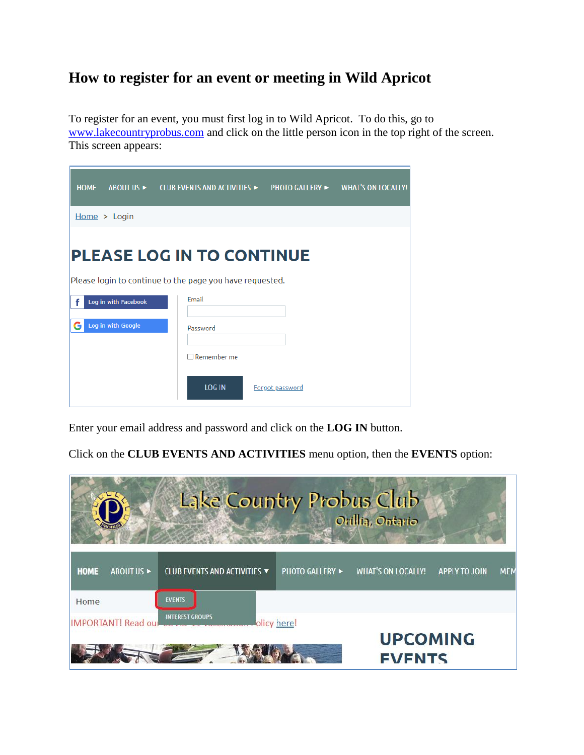## **How to register for an event or meeting in Wild Apricot**

To register for an event, you must first log in to Wild Apricot. To do this, go to [www.lakecountryprobus.com](http://www.lakecountryprobus.com/) and click on the little person icon in the top right of the screen. This screen appears:

| <b>HOME</b> |                      | ABOUT US $\blacktriangleright$ CLUB EVENTS AND ACTIVITIES $\blacktriangleright$              |                 | <b>PHOTO GALLERY ►</b> | <b>WHAT'S ON LOCALLY!</b> |
|-------------|----------------------|----------------------------------------------------------------------------------------------|-----------------|------------------------|---------------------------|
|             | Home > Login         |                                                                                              |                 |                        |                           |
|             |                      | <b>PLEASE LOG IN TO CONTINUE</b><br>Please login to continue to the page you have requested. |                 |                        |                           |
|             | Log in with Facebook | Email                                                                                        |                 |                        |                           |
|             | Log in with Google   | Password                                                                                     |                 |                        |                           |
|             |                      | Remember me                                                                                  |                 |                        |                           |
|             |                      | <b>LOG IN</b>                                                                                | Forgot password |                        |                           |

Enter your email address and password and click on the **LOG IN** button.

Click on the **CLUB EVENTS AND ACTIVITIES** menu option, then the **EVENTS** option:

| Lake Country Probus Club<br>Orillia, Ontario |                              |                        |                                  |                                    |  |
|----------------------------------------------|------------------------------|------------------------|----------------------------------|------------------------------------|--|
| <b>HOME</b><br>ABOUT US ►                    | CLUB EVENTS AND ACTIVITIES ▼ | <b>PHOTO GALLERY ►</b> | <b>WHAT'S ON LOCALLY!</b>        | <b>MEM</b><br><b>APPLY TO JOIN</b> |  |
| Home<br>IMPORTANT! Read our Company          | <b>EVENTS</b>                | olicy here!            |                                  |                                    |  |
|                                              |                              |                        | <b>UPCOMING</b><br><b>FVFNTS</b> |                                    |  |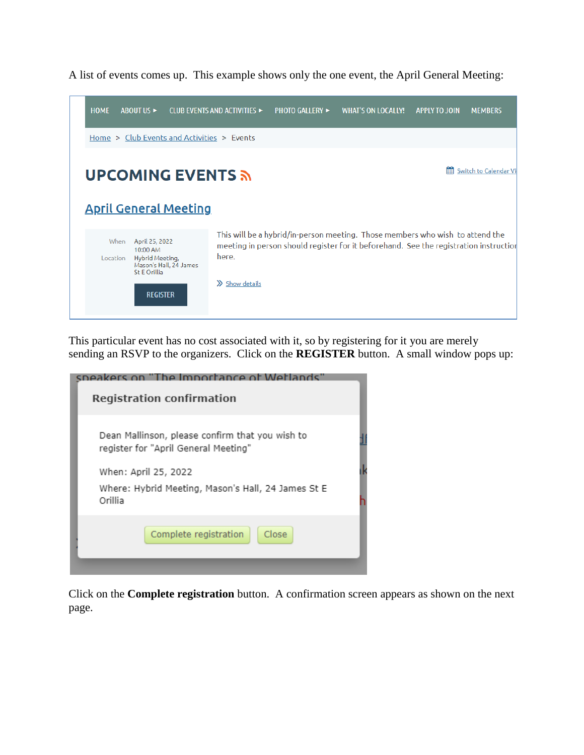

A list of events comes up. This example shows only the one event, the April General Meeting:

This particular event has no cost associated with it, so by registering for it you are merely sending an RSVP to the organizers. Click on the **REGISTER** button. A small window pops up:

| sneakers on "The Importance of Wetlands"                                                |  |  |  |  |
|-----------------------------------------------------------------------------------------|--|--|--|--|
| <b>Registration confirmation</b>                                                        |  |  |  |  |
| Dean Mallinson, please confirm that you wish to<br>register for "April General Meeting" |  |  |  |  |
| When: April 25, 2022                                                                    |  |  |  |  |
| Where: Hybrid Meeting, Mason's Hall, 24 James St E<br>Orillia                           |  |  |  |  |
| Complete registration<br>Close                                                          |  |  |  |  |
|                                                                                         |  |  |  |  |

Click on the **Complete registration** button. A confirmation screen appears as shown on the next page.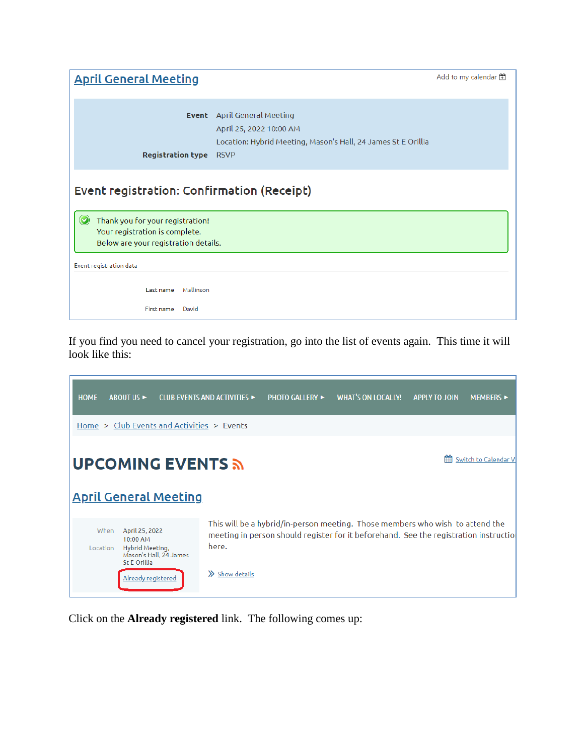| <b>April General Meeting</b>                                                                                                                                        |                                                                                                                                         | Add to my calendar |  |  |  |
|---------------------------------------------------------------------------------------------------------------------------------------------------------------------|-----------------------------------------------------------------------------------------------------------------------------------------|--------------------|--|--|--|
| Event<br><b>Registration type</b>                                                                                                                                   | <b>April General Meeting</b><br>April 25, 2022 10:00 AM<br>Location: Hybrid Meeting, Mason's Hall, 24 James St E Orillia<br><b>RSVP</b> |                    |  |  |  |
| Event registration: Confirmation (Receipt)<br>$\odot$<br>Thank you for your registration!<br>Your registration is complete.<br>Below are your registration details. |                                                                                                                                         |                    |  |  |  |
| Event registration data<br>Mallinson<br>Last name<br>First name<br>David                                                                                            |                                                                                                                                         |                    |  |  |  |

If you find you need to cancel your registration, go into the list of events again. This time it will look like this:



Click on the **Already registered** link. The following comes up: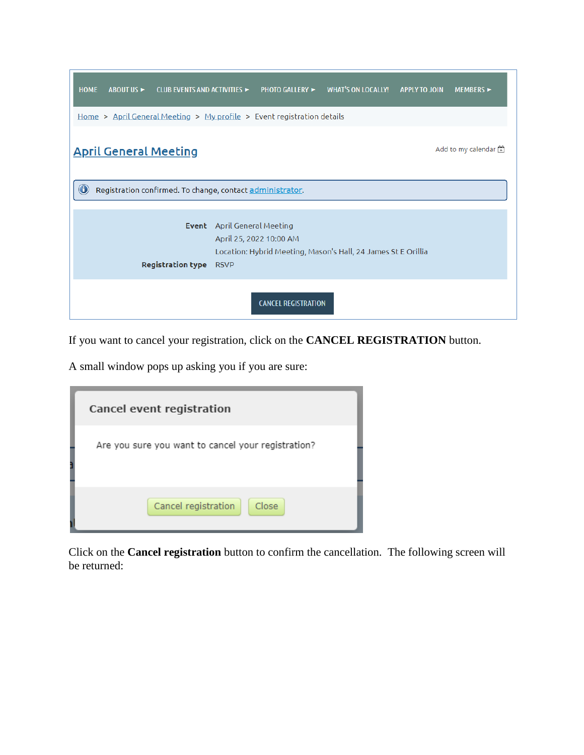| <b>HOME</b><br><b>ABOUT US ►</b><br>CLUB EVENTS AND ACTIVITIES ►                    |                                    | <b>PHOTO GALLERY ►</b>  | <b>WHAT'S ON LOCALLY!</b>                                     | <b>APPLY TO JOIN</b> | <b>MEMBERS</b> ► |  |
|-------------------------------------------------------------------------------------|------------------------------------|-------------------------|---------------------------------------------------------------|----------------------|------------------|--|
| <u>Home &gt; April General Meeting &gt; My profile</u> > Event registration details |                                    |                         |                                                               |                      |                  |  |
| Add to my calendar $\Box$<br><b>April General Meeting</b>                           |                                    |                         |                                                               |                      |                  |  |
| $\bigcirc$<br>Registration confirmed. To change, contact administrator.             |                                    |                         |                                                               |                      |                  |  |
|                                                                                     | <b>Event</b> April General Meeting | April 25, 2022 10:00 AM |                                                               |                      |                  |  |
| <b>Registration type</b>                                                            | <b>RSVP</b>                        |                         | Location: Hybrid Meeting, Mason's Hall, 24 James St E Orillia |                      |                  |  |
| <b>CANCEL REGISTRATION</b>                                                          |                                    |                         |                                                               |                      |                  |  |

If you want to cancel your registration, click on the **CANCEL REGISTRATION** button.

A small window pops up asking you if you are sure:

| Cancel event registration                          |
|----------------------------------------------------|
| Are you sure you want to cancel your registration? |
| Cancel registration<br>Close                       |

Click on the **Cancel registration** button to confirm the cancellation. The following screen will be returned: